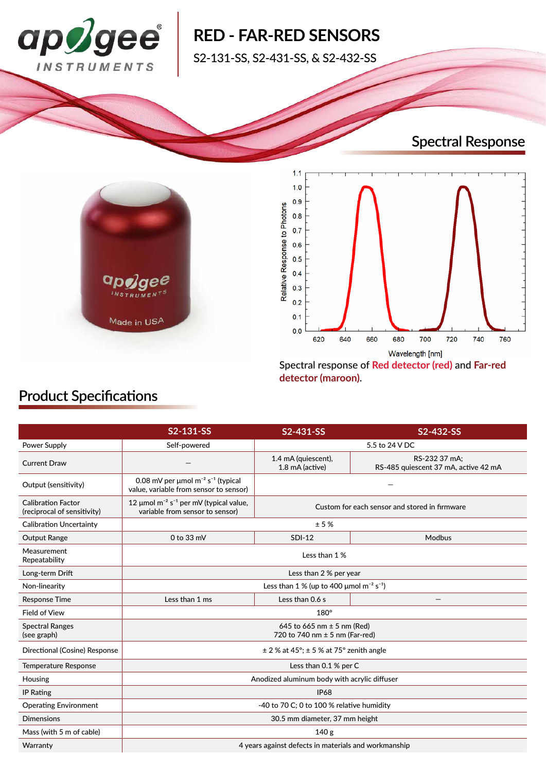

# **RED - FAR-RED SENSORS**

S2-131-SS, S2-431-SS, & S2-432-SS

# **Spectral Response**





**detector (maroon)**.

## **Product Specifications**

|                                                          | S2-131-SS                                                                                                | S2-431-SS                                     | S2-432-SS                                             |
|----------------------------------------------------------|----------------------------------------------------------------------------------------------------------|-----------------------------------------------|-------------------------------------------------------|
| Power Supply                                             | Self-powered                                                                                             | 5.5 to 24 V DC                                |                                                       |
| <b>Current Draw</b>                                      |                                                                                                          | 1.4 mA (quiescent),<br>1.8 mA (active)        | RS-232 37 mA:<br>RS-485 quiescent 37 mA, active 42 mA |
| Output (sensitivity)                                     | 0.08 mV per $\mu$ mol m <sup>-2</sup> s <sup>-1</sup> (typical<br>value, variable from sensor to sensor) |                                               |                                                       |
| <b>Calibration Factor</b><br>(reciprocal of sensitivity) | 12 $\mu$ mol m <sup>-2</sup> s <sup>-1</sup> per mV (typical value,<br>variable from sensor to sensor)   | Custom for each sensor and stored in firmware |                                                       |
| <b>Calibration Uncertainty</b>                           | $\pm$ 5 %                                                                                                |                                               |                                                       |
| Output Range                                             | 0 to 33 mV                                                                                               | <b>SDI-12</b>                                 | Modbus                                                |
| Measurement<br>Repeatability                             | Less than 1 %                                                                                            |                                               |                                                       |
| Long-term Drift                                          | Less than 2 % per year                                                                                   |                                               |                                                       |
| Non-linearity                                            | Less than 1 % (up to 400 $\mu$ mol m <sup>-2</sup> s <sup>-1</sup> )                                     |                                               |                                                       |
| <b>Response Time</b>                                     | Less than 1 ms                                                                                           | Less than 0.6 s                               |                                                       |
| <b>Field of View</b>                                     | $180^\circ$                                                                                              |                                               |                                                       |
| <b>Spectral Ranges</b><br>(see graph)                    | 645 to 665 nm $\pm$ 5 nm (Red)<br>720 to 740 nm ± 5 nm (Far-red)                                         |                                               |                                                       |
| Directional (Cosine) Response                            | $\pm$ 2 % at 45°; $\pm$ 5 % at 75° zenith angle                                                          |                                               |                                                       |
| <b>Temperature Response</b>                              | Less than 0.1 % per C                                                                                    |                                               |                                                       |
| Housing                                                  | Anodized aluminum body with acrylic diffuser                                                             |                                               |                                                       |
| <b>IP Rating</b>                                         | <b>IP68</b>                                                                                              |                                               |                                                       |
| <b>Operating Environment</b>                             | -40 to 70 C; 0 to 100 % relative humidity                                                                |                                               |                                                       |
| <b>Dimensions</b>                                        | 30.5 mm diameter, 37 mm height                                                                           |                                               |                                                       |
| Mass (with 5 m of cable)                                 | 140 <sub>g</sub>                                                                                         |                                               |                                                       |
| Warranty                                                 | 4 years against defects in materials and workmanship                                                     |                                               |                                                       |